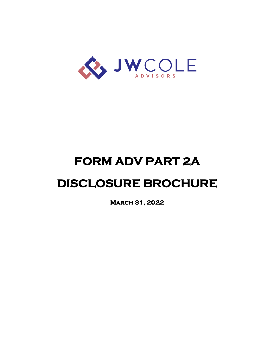

# **FORM ADV PART 2A**

## **DISCLOSURE BROCHURE**

**March 31, 2022**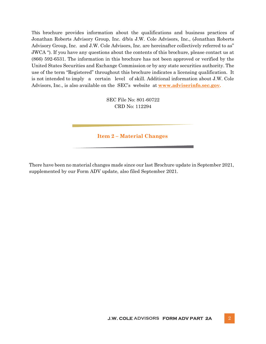This brochure provides information about the qualifications and business practices of Jonathan Roberts Advisory Group, Inc. d/b/a J.W. Cole Advisors, Inc., (Jonathan Roberts Advisory Group, Inc. and J.W. Cole Advisors, Inc. are hereinafter collectively referred to as" JWCA "). If you have any questions about the contents of this brochure, please contact us at (866) 592‐6531. The information in this brochure has not been approved or verified by the United States Securities and Exchange Commission or by any state securities authority. The use of the term "Registered" throughout this brochure indicates a licensing qualification. It is not intended to imply a certain level of skill. Additional information about J.W. Cole Advisors, Inc., is also available on the SE[C's website at](http://www.adviserinfo.sec.gov/) **[www.adviserinfo.sec.gov.](http://www.adviserinfo.sec.gov/)**

> SEC File No: 801-60722 CRD No: 112294

**Item 2 – Material Changes**

There have been no material changes made since our last Brochure update in September 2021, supplemented by our Form ADV update, also filed September 2021.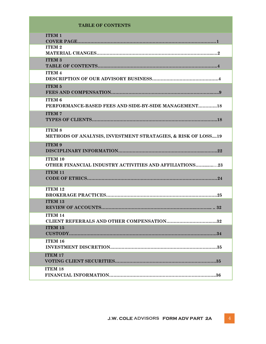#### **TABLE OF CONTENTS**

| <b>ITEM 1</b>                                                                 |
|-------------------------------------------------------------------------------|
| <b>ITEM 2</b>                                                                 |
| <b>ITEM 3</b>                                                                 |
| <b>ITEM 4</b>                                                                 |
| <b>ITEM 5</b>                                                                 |
| <b>ITEM 6</b><br>PERFORMANCE-BASED FEES AND SIDE-BY-SIDE MANAGEMENT18         |
| <b>ITEM7</b>                                                                  |
| <b>ITEM 8</b><br>METHODS OF ANALYSIS, INVESTMENT STRATAGIES, & RISK OF LOSS19 |
| ITEM 9                                                                        |
| ITEM 10<br><b>OTHER FINANCIAL INDUSTRY ACTIVITIES AND AFFILIATIONS23</b>      |
| <b>ITEM 11</b>                                                                |
| <b>ITEM 12</b>                                                                |
| <b>ITEM 13</b>                                                                |
| ITEM 14<br><b>CLIENT REFERRALS AND OTHER COMPENSATION32</b>                   |
| <b>ITEM 15</b>                                                                |
| <b>ITEM 16</b>                                                                |
| <b>ITEM 17</b>                                                                |
| <b>ITEM 18</b>                                                                |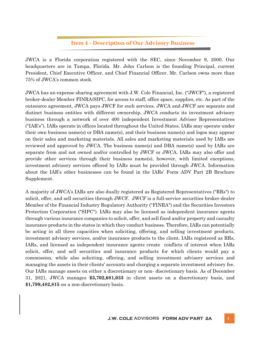## **Item 4 - Description of Our Advisory Business**

JWCA is a Florida corporation registered with the SEC, since November 9, 2000. Our headquarters are in Tampa, Florida. Mr. John Carlson is the founding Principal, current President, Chief Executive Officer, and Chief Financial Officer. Mr. Carlson owns more than 75% of JWCA's common stock.

JWCA has an expense sharing agreement with J.W. Cole Financial, Inc. ("JWCF"), a registered broker-dealer Member FINRA/SIPC, for access to staff, office space, supplies, etc. As part of the outsource agreement, JWCA pays JWCF for such services. JWCA and JWCF are separate and distinct business entities with different ownership. JWCA conducts its investment advisory business through a network of over 400 independent Investment Adviser Representatives ("IAR's"). IARs operate in offices located throughout the United States. IARs may operate under their own business name(s) or DBA name(s), and their business name(s) and logos may appear on their sales and marketing materials. All sales and marketing materials used by IARs are reviewed and approved by JWCA. The business name(s) and DBA name(s) used by IARs are separate from and not owned and/or controlled by JWCF or JWCA. IARs may also offer and provide other services through their business name(s), however, with limited exceptions, investment advisory services offered by IARs must be provided through JWCA. Information about the IAR's other businesses can be found in the IARs' Form ADV Part 2B Brochure Supplement.

A majority of JWCA's IARs are also dually registered as Registered Representatives ("RRs") to solicit, offer, and sell securities through JWCF. JWCF is a full-service securities broker-dealer Member of the Financial Industry Regulatory Authority ("FINRA") and the Securities Investors Protection Corporation ("SIPC"). IARs may also be licensed as independent insurance agents through various insurance companies to solicit, offer, and sell fixed and/or property and casualty insurance products in the states in which they conduct business. Therefore, IARs can potentially be acting in all three capacities when soliciting, offering, and selling investment products, investment advisory services, and/or insurance products to the client. IARs registered as RRs, IARs, and licensed as independent insurance agents create conflicts of interest when IARs solicit, offer, and sell securities and insurance products for which clients would pay a commission, while also soliciting, offering, and selling investment advisory services and managing the assets in their clients' accounts and charging a separate investment advisory fee. Our IARs manage assets on either a discretionary or non- discretionary basis. As of December 31, 2021, JWCA manages **\$3,702,681,033** in client assets on a discretionary basis, and **\$1,799,482,815** on a non-discretionary basis.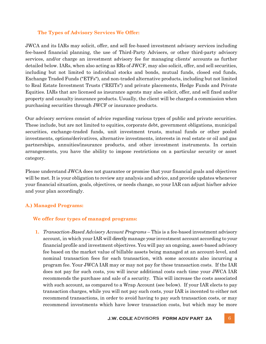## **The Types of Advisory Services We Offer:**

JWCA and its IARs may solicit, offer, and sell fee-based investment advisory services including fee-based financial planning, the use of Third-Party Advisers, or other third-party advisory services, and/or charge an investment advisory fee for managing clients' accounts as further detailed below. IARs, when also acting as RRs of JWCF, may also solicit, offer, and sell securities, including but not limited to individual stocks and bonds, mutual funds, closed end funds, Exchange Traded Funds ("ETFs"), and non-traded alternative products, including but not limited to Real Estate Investment Trusts ("REITs") and private placements, Hedge Funds and Private Equities. IARs that are licensed as insurance agents may also solicit, offer, and sell fixed and/or property and casualty insurance products. Usually, the client will be charged a commission when purchasing securities through JWCF or insurance products.

Our advisory services consist of advice regarding various types of public and private securities. These include, but are not limited to equities, corporate debt, government obligations, municipal securities, exchange-traded funds, unit investment trusts, mutual funds or other pooled investments, options/derivatives, alternative investments, interests in real estate or oil and gas partnerships, annuities/insurance products, and other investment instruments. In certain arrangements, you have the ability to impose restrictions on a particular security or asset category.

Please understand JWCA does not guarantee or promise that your financial goals and objectives will be met. It is your obligation to review any analysis and advice, and provide updates whenever your financial situation, goals, objectives, or needs change, so your IAR can adjust his/her advice and your plan accordingly.

## **A.) Managed Programs:**

### **We offer four types of managed programs:**

**1.** *Transaction-Based Advisory Account Programs* – This is a fee-based investment advisory account, in which your IAR will directly manage your investment account according to your financial profile and investment objectives. You will pay an ongoing, asset-based advisory fee based on the market value of billable assets being managed at an account-level, and nominal transaction fees for each transaction, with some accounts also incurring a program fee. Your JWCA IAR may or may not pay for these transaction costs. If the IAR does not pay for such costs, you will incur additional costs each time your JWCA IAR recommends the purchase and sale of a security. This will increase the costs associated with such account, as compared to a Wrap Account (see below). If your IAR elects to pay transaction charges, while you will not pay such costs, your IAR is incented to either not recommend transactions, in order to avoid having to pay such transaction costs, or may recommend investments which have lower transaction costs, but which may be more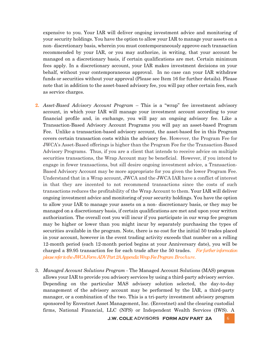expensive to you. Your IAR will deliver ongoing investment advice and monitoring of your security holdings. You have the option to allow your IAR to manage your assets on a non- discretionary basis, wherein you must contemporaneously approve each transaction recommended by your IAR, or you may authorize, in writing, that your account be managed on a discretionary basis, if certain qualifications are met. Certain minimum fees apply. In a discretionary account, your IAR makes investment decisions on your behalf, without your contemporaneous approval. In no case can your IAR withdraw funds or securities without your approval (Please see Item 16 for further details). Please note that in addition to the asset-based advisory fee, you will pay other certain fees, such as service charges.

- **2.** *Asset-Based Advisory Account Program*  This is a "wrap" fee investment advisory account, in which your IAR will manage your investment account according to your financial profile and, in exchange, you will pay an ongoing advisory fee. Like a Transaction-Based Advisory Account Programs you will pay an asset-based Program Fee. Unlike a transaction-based advisory account, the asset-based fee in this Program covers certain transaction costs within the advisory fee. However, the Program Fee for JWCA's Asset-Based offerings is higher than the Program Fee for the Transaction-Based Advisory Programs. Thus, if you are a client that intends to receive advice on multiple securities transactions, the Wrap Account may be beneficial. However, if you intend to engage in fewer transactions, but sill desire ongoing investment advice, a Transaction-Based Advisory Account may be more appropriate for you given the lower Program Fee. Understand that in a Wrap account, JWCA and the JWCA IAR have a conflict of interest in that they are incented to not recommend transactions since the costs of such transactions reduces the profitability of the Wrap Account to them. Your IAR will deliver ongoing investment advice and monitoring of your security holdings. You have the option to allow your IAR to manage your assets on a non- discretionary basis, or they may be managed on a discretionary basis, if certain qualifications are met and upon your written authorization. The overall cost you will incur if you participate in our wrap fee program may be higher or lower than you might incur by separately purchasing the types of securities available in the program. Note, there is no cost for the initial 50 trades placed in your account, however in the event trading activity exceeds that number on a rolling 12-month period (each 12-month period begins at your Anniversary date), you will be charged a \$9.95 transaction fee for each trade after the 50 trades. *For further information please refer to the JWCA Form ADV Part 2A Appendix Wrap Fee Program Brochure.*
- 3. *Managed Account Solutions Program* The Managed Account Solutions (MAS) program allows your IAR to provide you advisory services by using a third-party advisory service. Depending on the particular MAS advisory solution selected, the day-to-day management of the advisory account may be performed by the IAR, a third-party manager, or a combination of the two. This is a tri-party investment advisory program sponsored by Envestnet Asset Management, Inc. (Envestnet) and the clearing custodial firms, National Financial, LLC (NFS) or Independent Wealth Services (IWS). A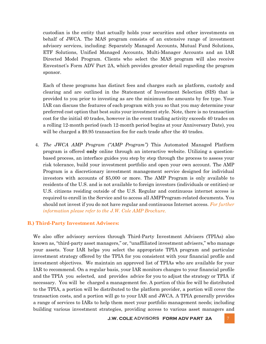custodian is the entity that actually holds your securities and other investments on behalf of JWCA. The MAS program consists of an extensive range of investment advisory services, including: Separately Managed Accounts, Mutual Fund Solutions, ETF Solutions, Unified Managed Accounts, Multi-Manager Accounts and an IAR Directed Model Program. Clients who select the MAS program will also receive Envestnet's Form ADV Part 2A, which provides greater detail regarding the program sponsor.

Each of these programs has distinct fees and charges such as platform, custody and clearing and are outlined in the Statement of Investment Selection (SIS) that is provided to you prior to investing as are the minimum fee amounts by fee type. Your IAR can discuss the features of each program with you so that you may determine your preferred cost option that best suits your investment style. Note, there is no transaction cost for the initial 40 trades, however in the event trading activity exceeds 40 trades on a rolling 12-month period (each 12-month period begins at your Anniversary Date), you will be charged a \$9.95 transaction fee for each trade after the 40 trades.

4. *The JWCA AMP Program ("AMP Program")* This Automated Managed Platform program is offered **only** online through an interactive website. Utilizing a questionbased process, an interface guides you step by step through the process to assess your risk tolerance, build your investment portfolio and open your own account. The AMP Program is a discretionary investment management service designed for individual investors with accounts of \$5,000 or more. The AMP Program is only available to residents of the U.S. and is not available to foreign investors (individuals or entities) or U.S. citizens residing outside of the U.S. Regular and continuous internet access is required to enroll in the Service and to access all AMPProgram-related documents. You should not invest if you do not have regular and continuous Internet access. *For further information please refer to the J.W. Cole AMP Brochure.*

### **B.) Third-Party Investment Advisers:**

We also offer advisory services through Third-Party Investment Advisers (TPIAs) also known as, "third-party asset managers," or, "unaffiliated investment advisers," who manage your assets. Your IAR helps you select the appropriate TPIA program and particular investment strategy offered by the TPIA for you consistent with your financial profile and investment objectives. We maintain an approved list of TPIAs who are available for your IAR to recommend. On a regular basis, your IAR monitors changes to your financial profile and the TPIA you selected, and provides advice for you to adjust the strategy or TPIA if necessary. You will be charged a management fee. A portion of this fee will be distributed to the TPIA, a portion will be distributed to the platform provider, a portion will cover the transaction costs, and a portion will go to your IAR and JWCA. A TPIA generally provides a range of services to IARs to help them meet your portfolio management needs; including building various investment strategies, providing access to various asset managers and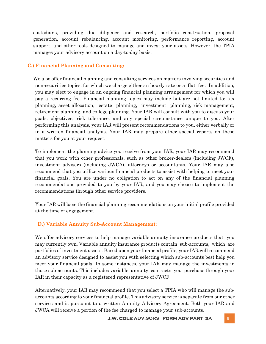custodians, providing due diligence and research, portfolio construction, proposal generation, account rebalancing, account monitoring, performance reporting, account support, and other tools designed to manage and invest your assets. However, the TPIA manages your advisory account on a day-to-day basis.

## **C.) Financial Planning and Consulting:**

We also offer financial planning and consulting services on matters involving securities and non-securities topics, for which we charge either an hourly rate or a flat fee. In addition, you may elect to engage in an ongoing financial planning arrangement for which you will pay a recurring fee. Financial planning topics may include but are not limited to: tax planning, asset allocation, estate planning, investment planning, risk management, retirement planning, and college planning. Your IAR will consult with you to discuss your goals, objectives, risk tolerance, and any special circumstance unique to you. After performing this analysis, your IAR will present recommendations to you, either verbally or in a written financial analysis. Your IAR may prepare other special reports on these matters for you at your request.

To implement the planning advice you receive from your IAR, your IAR may recommend that you work with other professionals, such as other broker-dealers (including JWCF), investment advisers (including JWCA), attorneys or accountants. Your IAR may also recommend that you utilize various financial products to assist with helping to meet your financial goals. You are under no obligation to act on any of the financial planning recommendations provided to you by your IAR, and you may choose to implement the recommendations through other service providers.

Your IAR will base the financial planning recommendations on your initial profile provided at the time of engagement.

## **D.) Variable Annuity Sub-Account Management:**

We offer advisory services to help manage variable annuity insurance products that you may currently own. Variable annuity insurance products contain sub-accounts, which are portfolios of investment assets. Based upon your financial profile, your IAR will recommend an advisory service designed to assist you with selecting which sub-accounts best help you meet your financial goals. In some instances, your IAR may manage the investments in those sub-accounts. This includes variable annuity contracts you purchase through your IAR in their capacity as a registered representative of JWCF.

Alternatively, your IAR may recommend that you select a TPIA who will manage the subaccounts according to your financial profile. This advisory service is separate from our other services and is pursuant to a written Annuity Advisory Agreement. Both your IAR and JWCA will receive a portion of the fee charged to manage your sub-accounts.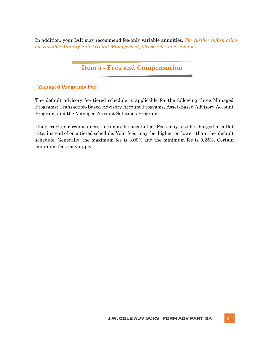In addition, your IAR may recommend fee-only variable annuities. *For further information on Variable Annuity Sub-Account Management, please refer to Section 5.*

## **Item 5 - Fees and Compensation**

## **Managed Programs Fee:**

The default advisory fee tiered schedule is applicable for the following three Managed Programs: Transaction-Based Advisory Account Programs, Asset-Based Advisory Account Program, and the Managed Account Solutions Program.

Under certain circumstances, fees may be negotiated. Fees may also be charged at a flat rate, instead of on a tiered schedule. Your fees may be higher or lower than the default schedule. Generally, the maximum fee is 3.00% and the minimum fee is 0.25%. Certain minimum fees may apply.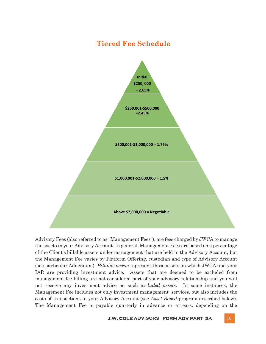## **Tiered Fee Schedule**



Advisory Fees (also referred to as "Management Fees"), are fees charged by JWCA to manage the assets in your Advisory Account. In general, Management Fees are based on a percentage of the Client's billable assets under management that are held in the Advisory Account, but the Management Fee varies by Platform Offering, custodian and type of Advisory Account (see particular Addendum). *Billable assets* represent those assets on which JWCA and your IAR are providing investment advice. Assets that are deemed to be excluded from management fee billing are not considered part of your advisory relationship and you will not receive any investment advice on such *excluded assets*. In some instances, the Management Fee includes not only investment management services, but also includes the costs of transactions in your Advisory Account (see *Asset-Based* program described below). The Management Fee is payable quarterly in advance or arrears, depending on the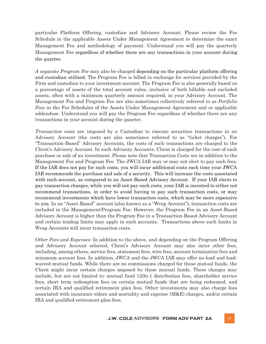particular Platform Offering, custodian and Advisory Account. Please review the Fee Schedule in the applicable Assets Under Management Agreement to determine the exact Management Fee and methodology of payment. Understand you will pay the quarterly Management Fee regardless of whether there are any transactions in your account during the quarter.

*A* separate *Program Fee* may also be charged depending on the particular platform offering and custodian utilized. The Program Fee is billed in exchange for services provided by the Firm and custodian to your investment account. The Program Fee is also generally based on a percentage of assets of the total account value, inclusive of both billable and excluded assets, often with a minimum quarterly amount required, in your Advisory Account. The Management Fee and Program Fee are also sometimes collectively referred to as *Portfolio Fees* in the Fee Schedules of the Assets Under Management Agreement and or applicable addendum. Understand you will pay the Program Fee regardless of whether there are any transactions in your account during the quarter.

*Transaction costs* are imposed by a Custodian to execute securities transactions in an Advisory Account (the costs are also sometimes referred to as "ticket charges"). For "Transaction-Based" Advisory Accounts, the costs of such transactions are charged to the Client's Advisory Account. In such Advisory Accounts, Client is charged for the cost of each purchase or sale of an investment. Please note that Transaction Costs are in addition to the Management Fee and Program Fee. The JWCA IAR may or may not elect to pay such fees. If the IAR does not pay for such costs, you will incur additional costs each time your JWCA IAR recommends the purchase and sale of a security. This will increase the costs associated with such account, as compared to an Asset-Based Advisory Account. If your IAR elects to pay transaction charges, while you will not pay such costs, your IAR is incented to either not recommend transactions, in order to avoid having to pay such transaction costs, or may recommend investments which have lower transaction costs, which may be more expensive to you. In an "Asset-Based" account (also known as a "Wrap Account"), transaction costs are included in the Management/Program Fee. However, the Program Fee in an Asset-Based Advisory Account is higher than the Program Fee in a Transaction-Based Advisory Account and certain trading limits may apply in such accounts. Transactions above such limits in Wrap Accounts will incur transaction costs.

*Other Fees and Expenses:* In addition to the above, and depending on the Program Offering and Advisory Account selected, Client's Advisory Account may also incur other fees, including, among others, service fees, statement fees, wire fees, account termination fees and minimum account fees. In addition, JWCA and the JWCA IAR may offer no-load and loadwaived mutual funds. While there are no commissions charged for these mutual funds, the Client might incur certain charges imposed by those mutual funds. These charges may include, but are not limited to: mutual fund 12(b)-1 distribution fees, shareholder service fees, short term redemption fees on certain mutual funds that are being redeemed, and certain IRA and qualified retirement plan fees. Other investments may also charge fees associated with insurance riders and mortality and expense  $(M&E)$  charges, and/or certain IRA and qualified retirement plan fees.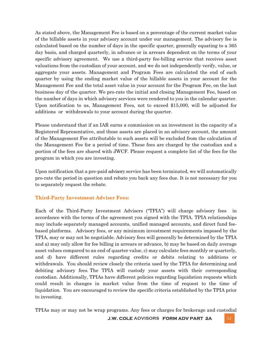As stated above, the Management Fee is based on a percentage of the current market value of the billable assets in your advisory account under our management. The advisory fee is calculated based on the number of days in the specific quarter, generally equating to a 365 day basis, and charged quarterly, in advance or in arrears dependent on the terms of your specific advisory agreement. We use a third-party fee-billing service that receives asset valuations from the custodian of your account, and we do not independently verify, value, or aggregate your assets. Management and Program Fees are calculated the end of each quarter by using the ending market value of the billable assets in your account for the Management Fee and the total asset value in your account for the Program Fee, on the last business day of the quarter. We pro-rate the initial and closing Management Fee, based on the number of days in which advisory services were rendered to you in the calendar quarter. Upon notification to us, Management Fees, not to exceed \$15,000, will be adjusted for additions or withdrawals to your account during the quarter.

Please understand that if an IAR earns a commission on an investment in the capacity of a Registered Representative, and those assets are placed in an advisory account, the amount of the Management Fee attributable to such assets will be excluded from the calculation of the Management Fee for a period of time. These fees are charged by the custodian and a portion of the fees are shared with JWCF. Please request a complete list of the fees for the program in which you are investing.

Upon notification that a pre-paid advisory service has been terminated, we will automatically pro-rate the period in question and rebate you back any fees due. It is not necessary for you to separately request the rebate.

## **Third-Party Investment Adviser Fees:**

Each of the Third-Party Investment Advisers ("TPIA") will charge advisory fees in accordance with the terms of the agreement you signed with the TPIA. TPIA relationships may include separately managed accounts, unified managed accounts, and direct fund feebased platforms. Advisory fees, or any minimum investment requirements imposed by the TPIA, may or may not be negotiable. Advisory fees will generally be determined by the TPIA and a) may only allow for fee billing in arrears or advance, b) may be based on daily average asset values compared to an end of quarter value, c) may calculate fees monthly or quarterly, and d) have different rules regarding credits or debits relating to additions or withdrawals. You should review closely the criteria used by the TPIA for determining and debiting advisory fees. The TPIA will custody your assets with their corresponding custodian. Additionally, TPIAs have different policies regarding liquidation requests which could result in changes in market value from the time of request to the time of liquidation. You are encouraged to review the specific criteria established by the TPIA prior to investing.

TPIAs may or may not be wrap programs. Any fees or charges for brokerage and custodial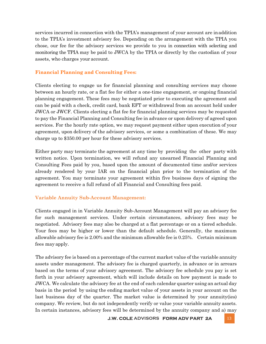services incurred in connection with the TPIA's management of your account are inaddition to the TPIA's investment advisory fee. Depending on the arrangement with the TPIA you chose, our fee for the advisory services we provide to you in connection with selecting and monitoring the TPIA may be paid to JWCA by the TPIA or directly by the custodian of your assets, who charges your account.

## **Financial Planning and Consulting Fees:**

Clients electing to engage us for financial planning and consulting services may choose between an hourly rate, or a flat fee for either a one-time engagement, or ongoing financial planning engagement. These fees may be negotiated prior to executing the agreement and can be paid with a check, credit card, bank EFT or withdrawal from an account held under JWCA or JWCF. Clients electing a flat fee for financial planning services may be requested to pay the Financial Planning and Consulting fee in advance or upon delivery of agreed upon services. For the hourly rate option, we may request payment either upon execution of your agreement, upon delivery of the advisory services, or some a combination of these. We may charge up to \$350.00 per hour for these advisory services.

Either party may terminate the agreement at any time by providing the other party with written notice. Upon termination, we will refund any unearned Financial Planning and Consulting Fees paid by you, based upon the amount of documented time and/or services already rendered by your IAR on the financial plan prior to the termination of the agreement. You may terminate your agreement within five business days of signing the agreement to receive a full refund of all Financial and Consulting fees paid.

### **Variable Annuity Sub-Account Management:**

Clients engaged in in Variable Annuity Sub-Account Management will pay an advisory fee for such management services. Under certain circumstances, advisory fees may be negotiated. Advisory fees may also be charged at a flat percentage or on a tiered schedule. Your fees may be higher or lower than the default schedule. Generally, the maximum allowable advisory fee is 2.00% and the minimum allowable fee is 0.25%. Certain minimum fees may apply.

The advisory fee is based on a percentage of the current market value of the variable annuity assets under management. The advisory fee is charged quarterly, in advance or in arrears based on the terms of your advisory agreement. The advisory fee schedule you pay is set forth in your advisory agreement, which will include details on how payment is made to JWCA. We calculate the advisory fee at the end of each calendar quarter using an actual day basis in the period by using the ending market value of your assets in your account on the last business day of the quarter. The market value is determined by your annuity(ies) company. We review, but do not independently verify or value your variable annuity assets. In certain instances, advisory fees will be determined by the annuity company and a) may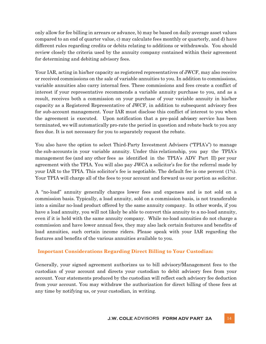only allow for fee billing in arrears or advance, b) may be based on daily average asset values compared to an end of quarter value, c) may calculate fees monthly or quarterly, and d) have different rules regarding credits or debits relating to additions or withdrawals. You should review closely the criteria used by the annuity company contained within their agreement for determining and debiting advisory fees.

Your IAR, acting in his/her capacity as registered representatives of JWCF, may also receive or received commissions on the sale of variable annuities to you. In addition to commissions, variable annuities also carry internal fees. These commissions and fees create a conflict of interest if your representative recommends a variable annuity purchase to you, and as a result, receives both a commission on your purchase of your variable annuity in his/her capacity as a Registered Representative of JWCF, in addition to subsequent advisory fees for sub-account management. Your IAR must disclose this conflict of interest to you when the agreement is executed. Upon notification that a pre-paid advisory service has been terminated, we will automatically pro-rate the period in question and rebate back to you any fees due. It is not necessary for you to separately request the rebate.

You also have the option to select Third-Party Investment Advisers ("TPIA's") to manage the sub-accounts in your variable annuity. Under this relationship, you pay the TPIA's management fee (and any other fees as identified in the TPIA's ADV Part II) per your agreement with the TPIA. You will also pay JWCA a solicitor's fee for the referral made by your IAR to the TPIA. This solicitor's fee is negotiable. The default fee is one percent (1%). Your TPIA will charge all of the fees to your account and forward us our portion as solicitor.

A "no-load" annuity generally charges lower fees and expenses and is not sold on a commission basis. Typically, a load annuity, sold on a commission basis, is not transferable into a similar no-load product offered by the same annuity company. In other words, if you have a load annuity, you will not likely be able to convert this annuity to a no-load annuity, even if it is held with the same annuity company. While no-load annuities do not charge a commission and have lower annual fees, they may also lack certain features and benefits of load annuities, such certain income riders. Please speak with your IAR regarding the features and benefits of the various annuities available to you.

### **Important Considerations Regarding Direct Billing to Your Custodian:**

Generally, your signed agreement authorizes us to bill advisory/Management fees to the custodian of your account and directs your custodian to debit advisory fees from your account. Your statements produced by the custodian will reflect each advisory fee deduction from your account. You may withdraw the authorization for direct billing of these fees at any time by notifying us, or your custodian, in writing.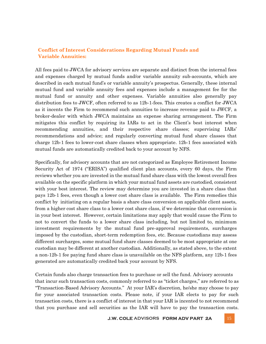## **Conflict of Interest Considerations Regarding Mutual Funds and Variable Annuities:**

All fees paid to JWCA for advisory services are separate and distinct from the internal fees and expenses charged by mutual funds and/or variable annuity sub-accounts, which are described in each mutual fund's or variable annuity's prospectus. Generally, these internal mutual fund and variable annuity fees and expenses include a management fee for the mutual fund or annuity and other expenses. Variable annuities also generally pay distribution fees to JWCF, often referred to as 12b-1-fees. This creates a conflict for JWCA as it incents the Firm to recommend such annuities to increase revenue paid to JWCF, a broker-dealer with which JWCA maintains an expense sharing arrangement. The Firm mitigates this conflict by requiring its IARs to act in the Client's best interest when recommending annuities, and their respective share classes; supervising IARs' recommendations and advice; and regularly converting mutual fund share classes that charge 12b-1 fees to lower-cost share classes when appropriate. 12b-1 fees associated with mutual funds are automatically credited back to your account by NFS.

Specifically, for advisory accounts that are not categorized as Employee Retirement Income Security Act of 1974 ("ERISA") qualified client plan accounts, every 60 days, the Firm reviews whether you are invested in the mutual fund share class with the lowest overall fees available on the specific platform in which your mutual fund assets are custodied, consistent with your best interest. The review may determine you are invested in a share class that pays 12b-1 fees, even though a lower cost share class is available. The Firm remedies this conflict by initiating on a regular basis a share class conversion on applicable client assets, from a higher cost share class to a lower cost share class, if we determine that conversion is in your best interest. However, certain limitations may apply that would cause the Firm to not to convert the funds to a lower share class including, but not limited to, minimum investment requirements by the mutual fund pre-approval requirements, surcharges imposed by the custodian, short-term redemption fees, etc. Because custodians may assess different surcharges, some mutual fund share classes deemed to be most appropriate at one custodian may be different at another custodian. Additionally, as stated above, to the extent a non-12b-1 fee paying fund share class is unavailable on the NFS platform, any 12b-1 fees generated are automatically credited back your account by NFS.

Certain funds also charge transaction fees to purchase or sell the fund. Advisory accounts that incur such transaction costs, commonly referred to as "ticket charges," are referred to as "Transaction-Based Advisory Accounts." At your IAR's discretion, he/she may choose to pay for your associated transaction costs. Please note, if your IAR elects to pay for such transaction costs, there is a conflict of interest in that your IAR is incented to not recommend that you purchase and sell securities as the IAR will have to pay the transaction costs.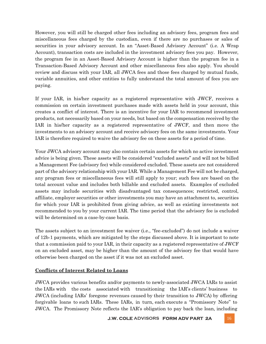However, you will still be charged other fees including an advisory fees, program fees and miscellaneous fees charged by the custodian, even if there are no purchases or sales of securities in your advisory account. In an "Asset-Based Advisory Account" (i.e. A Wrap Account), transaction costs are included in the investment advisory fees you pay. However, the program fee in an Asset-Based Advisory Account is higher than the program fee in a Transaction-Based Advisory Account and other miscellaneous fees also apply. You should review and discuss with your IAR, all JWCA fees and those fees charged by mutual funds, variable annuities, and other entities to fully understand the total amount of fees you are paying.

If your IAR, in his/her capacity as a registered representative with JWCF, receives a commission on certain investment purchases made with assets held in your account, this creates a conflict of interest. There is an incentive for your IAR to recommend investment products, not necessarily based on your needs, but based on the compensation received by the IAR in his/her capacity as a registered representative of JWCF, and then move the investments to an advisory account and receive advisory fees on the same investments. Your IAR is therefore required to waive the advisory fee on these assets for a period of time.

Your JWCA advisory account may also contain certain assets for which no active investment advice is being given. These assets will be considered "excluded assets" and will not be billed a Management Fee (advisory fee) while considered excluded. These assets are not considered part of the advisory relationship with your IAR. While a Management Fee will not be charged, any program fees or miscellaneous fees will still apply to your; such fees are based on the total account value and includes both billable and excluded assets. Examples of excluded assets may include securities with disadvantaged tax consequences; restricted, control, affiliate, employer securities or other investments you may have an attachment to, securities for which your IAR is prohibited from giving advice, as well as existing investments not recommended to you by your current IAR. The time period that the advisory fee is excluded will be determined on a case-by-case basis.

The assets subject to an investment fee waiver (i.e., "fee-excluded") do not include a waiver of 12b-1 payments, which are mitigated by the steps discussed above. It is important to note that a commission paid to your IAR, in their capacity as a registered representative of JWCF on an excluded asset, may be higher than the amount of the advisory fee that would have otherwise been charged on the asset if it was not an excluded asset.

## **Conflicts of Interest Related to Loans**

JWCA provides various benefits and/or payments to newly-associated JWCA IARs to assist the IARs with the costs associated with transitioning the IAR's clients' business to JWCA (including IARs' foregone revenues caused by their transition to JWCA) by offering forgivable loans to such IARs. These IARs, in turn, each execute a "Promissory Note" to JWCA. The Promissory Note reflects the IAR's obligation to pay back the loan, including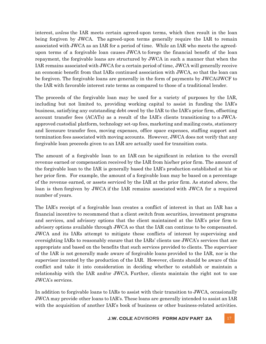interest, *unless* the IAR meets certain agreed-upon terms, which then result in the loan being forgiven by JWCA. The agreed-upon terms generally require the IAR to remain associated with JWCA as an IAR for a period of time. While an IAR who meets the agreedupon terms of a forgivable loan causes JWCA to forego the financial benefit of the loan repayment, the forgivable loans are structured by JWCA in such a manner that when the IAR remains associated with JWCA for a certain period of time, JWCA will generally receive an economic benefit from that IARs continued association with JWCA, so that the loan can be forgiven. The forgivable loans are generally in the form of payments by JWCA/JWCF to the IAR with favorable interest rate terms as compared to those of a traditional lender.

The proceeds of the forgivable loan may be used for a variety of purposes by the IAR, including but not limited to, providing working capital to assist in funding the IAR's business, satisfying any outstanding debt owed by the IAR to the IAR's prior firm, offsetting account transfer fees (ACATs) as a result of the IAR's clients transitioning to a JWCAapproved custodial platform, technology set-up fees, marketing and mailing costs, stationery and licensure transfer fees, moving expenses, office space expenses, staffing support and termination fees associated with moving accounts. However, JWCA does not verify that any forgivable loan proceeds given to an IAR are actually used for transition costs.

The amount of a forgivable loan to an IAR can be significant in relation to the overall revenue earned or compensation received by the IAR from his/her prior firm. The amount of the forgivable loan to the IAR is generally based the IAR's production established at his or her prior firm. For example, the amount of a forgivable loan may be based on a percentage of the revenue earned, or assets serviced by the IAR at the prior firm. As stated above, the loan is then forgiven by JWCA if the IAR remains associated with JWCA for a required number of years.

The IAR's receipt of a forgivable loan creates a conflict of interest in that an IAR has a financial incentive to recommend that a client switch from securities, investment programs and services, and advisory options that the client maintained at the IAR's prior firm to advisory options available through JWCA so that the IAR can continue to be compensated. JWCA and its IARs attempt to mitigate these conflicts of interest by supervising and oversighting IARs to reasonably ensure that the IARs' clients use JWCA's services that are appropriate and based on the benefits that such services provided to clients. The supervisor of the IAR is not generally made aware of forgivable loans provided to the IAR, nor is the supervisor incented by the production of the IAR. However, clients should be aware of this conflict and take it into consideration in deciding whether to establish or maintain a relationship with the IAR and/or JWCA. Further, clients maintain the right not to use JWCA's services.

In addition to forgivable loans to IARs to assist with their transition to JWCA, occasionally JWCA may provide other loans to IAR's. These loans are generally intended to assist an IAR with the acquisition of another IAR's book of business or other business-related activities.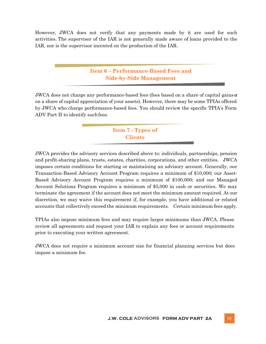However, JWCA does not verify that any payments made by it are used for such activities. The supervisor of the IAR is not generally made aware of loans provided to the IAR, nor is the supervisor incented on the production of the IAR.

## **Item 6 – Performance-Based Fees and Side-by-Side Management**

JWCA does not charge any performance-based fees (fees based on a share of capital gains  $\alpha$ on a share of capital appreciation of your assets). However, there may be some TPIAs offered by JWCA who charge performance-based fees. You should review the specific TPIA's Form ADV Part II to identify such fees.

## **Item 7 - Types of Clients**

JWCA provides the advisory services described above to: individuals, partnerships, pension and profit-sharing plans, trusts, estates, charities, corporations, and other entities. JWCA imposes certain conditions for starting or maintaining an advisory account. Generally, our Transaction-Based Advisory Account Program requires a minimum of \$10,000; our Asset-Based Advisory Account Program requires a minimum of \$100,000; and our Managed Account Solutions Program requires a minimum of \$5,000 in cash or securities. We may terminate the agreement if the account does not meet the minimum amount required. At our discretion, we may waive this requirement if, for example, you have additional or related accounts that collectively exceed the minimum requirements. Certain minimum fees apply.

TPIAs also impose minimum fees and may require larger minimums than JWCA. Please review all agreements and request your IAR to explain any fees or account requirements prior to executing your written agreement.

JWCA does not require a minimum account size for financial planning services but does impose a minimum fee.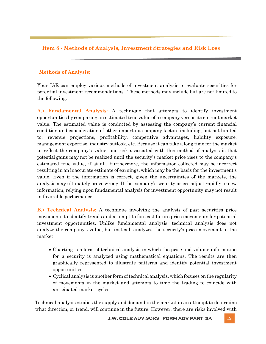## **Item 8 - Methods of Analysis, Investment Strategies and Risk Loss**

## **Methods of Analysis:**

Your IAR can employ various methods of investment analysis to evaluate securities for potential investment recommendations. These methods may include but are not limited to the following:

**A.) Fundamental Analysis**: A technique that attempts to identify investment opportunities by comparing an estimated true value of a company versus its current market value. The estimated value is conducted by assessing the company's current financial condition and consideration of other important company factors including, but not limited to: revenue projections, profitability, competitive advantages, liability exposure, management expertise, industry outlook, etc. Because it can take a long time for the market to reflect the company's value, one risk associated with this method of analysis is that potential gains may not be realized until the security's market price rises to the company's estimated true value, if at all. Furthermore, the information collected may be incorrect resulting in an inaccurate estimate of earnings, which may be the basis for the investment's value. Even if the information is correct, given the uncertainties of the markets, the analysis may ultimately prove wrong. If the company's security prices adjust rapidly to new information, relying upon fundamental analysis for investment opportunity may not result in favorable performance.

**B.) Technical Analysis:** A technique involving the analysis of past securities price movements to identify trends and attempt to forecast future price movements for potential investment opportunities. Unlike fundamental analysis, technical analysis does not analyze the company's value, but instead, analyzes the security's price movement in the market.

- Charting is a form of technical analysis in which the price and volume information for a security is analyzed using mathematical equations. The results are then graphically represented to illustrate patterns and identify potential investment opportunities.
- Cyclical analysis is another form of technical analysis, which focuses on the regularity of movements in the market and attempts to time the trading to coincide with anticipated market cycles.

Technical analysis studies the supply and demand in the market in an attempt to determine what direction, or trend, will continue in the future. However, there are risks involved with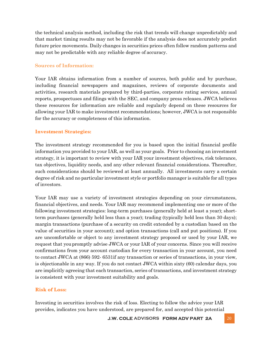the technical analysis method, including the risk that trends will change unpredictably and that market timing results may not be favorable if the analysis does not accurately predict future price movements. Daily changes in securities prices often follow random patterns and may not be predictable with any reliable degree of accuracy.

## **Sources of Information:**

Your IAR obtains information from a number of sources, both public and by purchase, including financial newspapers and magazines, reviews of corporate documents and activities, research materials prepared by third-parties, corporate rating services, annual reports, prospectuses and filings with the SEC, and company press releases. JWCA believes these resources for information are reliable and regularly depend on these resources for allowing your IAR to make investment recommendations; however, JWCA is not responsible for the accuracy or completeness of this information.

## **Investment Strategies:**

The investment strategy recommended for you is based upon the initial financial profile information you provided to your IAR, as well as your goals. Prior to choosing an investment strategy, it is important to review with your IAR your investment objectives, risk tolerance, tax objectives, liquidity needs, and any other relevant financial considerations. Thereafter, such considerations should be reviewed at least annually. All investments carry a certain degree of risk and no particular investment style or portfolio manager is suitable for all types of investors.

Your IAR may use a variety of investment strategies depending on your circumstances, financial objectives, and needs. Your IAR may recommend implementing one or more of the following investment strategies: long-term purchases (generally held at least a year); shortterm purchases (generally held less than a year); trading (typically held less than 30 days); margin transactions (purchase of a security on credit extended by a custodian based on the value of securities in your account); and option transactions (call and put positions). If you are uncomfortable or object to any investment strategy proposed or used by your IAR, we request that youpromptly advise JWCA or your IAR of your concerns. Since you will receive confirmations from your account custodian for every transaction in your account, you need to contact JWCA at (866) 592- 6531if any transaction or series of transactions, in your view, is objectionable in any way. If you do not contact JWCA within sixty (60) calendar days, you are implicitly agreeing that each transaction, series of transactions, and investment strategy is consistent with your investment suitability and goals.

### **Risk of Loss:**

Investing in securities involves the risk of loss. Electing to follow the advice your IAR provides, indicates you have understood, are prepared for, and accepted this potential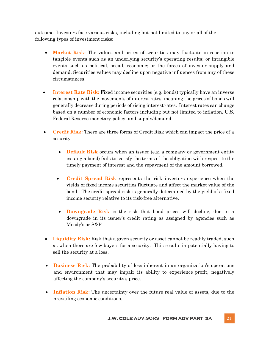outcome. Investors face various risks, including but not limited to any or all of the following types of investment risks:

- **Market Risk:** The values and prices of securities may fluctuate in reaction to tangible events such as an underlying security's operating results; or intangible events such as political, social, economic; or the forces of investor supply and demand. Securities values may decline upon negative influences from any of these circumstances.
- **Interest Rate Risk:** Fixed income securities (e.g. bonds) typically have an inverse relationship with the movements of interest rates, meaning the prices of bonds will generally decrease during periods of rising interest rates. Interest rates can change based on a number of economic factors including but not limited to inflation, U.S. Federal Reserve monetary policy, and supply/demand.
- **Credit Risk:** There are three forms of Credit Risk which can impact the price of a security.
	- **Default Risk** occurs when an issuer (e.g. a company or government entity issuing a bond) fails to satisfy the terms of the obligation with respect to the timely payment of interest and the repayment of the amount borrowed.
	- **Credit Spread Risk** represents the risk investors experience when the yields of fixed income securities fluctuate and affect the market value of the bond. The credit spread risk is generally determined by the yield of a fixed income security relative to its risk-free alternative.
	- **Downgrade Risk** is the risk that bond prices will decline, due to a downgrade in its issuer's credit rating as assigned by agencies such as Moody's or S&P.
- Liquidity Risk: Risk that a given security or asset cannot be readily traded, such as when there are few buyers for a security. This results in potentially having to sell the security at a loss.
- **Business Risk:** The probability of loss inherent in an organization's operations and environment that may impair its ability to experience profit, negatively affecting the company's security's price.
- **Inflation Risk:** The uncertainty over the future real value of assets, due to the prevailing economic conditions.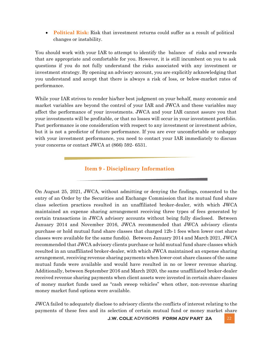• **Political Risk:** Risk that investment returns could suffer as a result of political changes or instability.

You should work with your IAR to attempt to identify the balance of risks and rewards that are appropriate and comfortable for you. However, it is still incumbent on you to ask questions if you do not fully understand the risks associated with any investment or investment strategy. By opening an advisory account, you are explicitly acknowledging that you understand and accept that there is always a risk of loss, or below-market rates of performance.

While your IAR strives to render his/her best judgment on your behalf, many economic and market variables are beyond the control of your IAR and JWCA and these variables may affect the performance of your investments. JWCA and your IAR cannot assure you that your investments will be profitable, or that no losses will occur in your investment portfolio. Past performance is one consideration with respect to any investment or investment advice, but it is not a predictor of future performance. If you are ever uncomfortable or unhappy with your investment performance, you need to contact your IAR immediately to discuss your concerns or contact JWCA at (866) 592- 6531.

**Item 9 - Disciplinary Information**

On August 25, 2021, JWCA, without admitting or denying the findings, consented to the entry of an Order by the Securities and Exchange Commission that its mutual fund share class selection practices resulted in an unaffiliated broker-dealer, with which JWCA maintained an expense sharing arrangement receiving three types of fees generated by certain transactions in JWCA advisory accounts without being fully disclosed. Between January 2014 and November 2016, JWCA recommended that JWCA advisory clients purchase or hold mutual fund share classes that charged 12b-1 fees when lower cost share classes were available for the same fund(s). Between January 2014 and March 2021, JWCA recommended that JWCA advisory clients purchase or hold mutual fund share classes which resulted in an unaffiliated broker-dealer, with which JWCA maintained an expense sharing arrangement, receiving revenue sharing payments when lower-cost share classes of the same mutual funds were available and would have resulted in no or lower revenue sharing. Additionally, between September 2016 and March 2020, the same unaffiliated broker-dealer received revenue sharing payments when client assets were invested in certain share classes of money market funds used as "cash sweep vehicles" when other, non-revenue sharing money market fund options were available.

JWCA failed to adequately disclose to advisory clients the conflicts of interest relating to the payments of these fees and its selection of certain mutual fund or money market share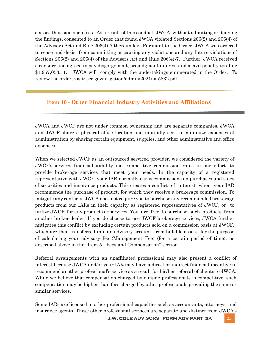classes that paid such fees. As a result of this conduct, JWCA, without admitting or denying the findings, consented to an Order that found JWCA violated Sections 206(2) and 206(4) of the Advisors Act and Rule 206(4)-7 thereunder. Pursuant to the Order, JWCA was ordered to cease and desist from committing or causing any violations and any future violations of Sections 206(2) and 206(4) of the Advisers Act and Rule 206(4)-7. Further, JWCA received a censure and agreed to pay disgorgement, prejudgment interest and a civil penalty totaling \$1,957,053.11. JWCA will comply with the undertakings enumerated in the Order. To review the order, visit: sec.gov/litigation/admin/2021/ia-5832.pdf.

## **Item 10 - Other Financial Industry Activities and Affiliations**

JWCA and JWCF are not under common ownership and are separate companies. JWCA and JWCF share a physical office location and mutually seek to minimize expenses of administration by sharing certain equipment, supplies, and other administrative and office expenses.

When we selected JWCF as an outsourced serviced provider, we considered the variety of JWCF's services, financial stability and competitive commission rates in our effort to provide brokerage services that meet your needs. In the capacity of a registered representative with JWCF, your IAR normally earns commissions on purchases and sales of securities and insurance products. This creates a conflict of interest when your IAR recommends the purchase of product, for which they receive a brokerage commission. To mitigate any conflicts, JWCA does not require you to purchase any recommended brokerage products from our IARs in their capacity as registered representatives of JWCF, or to utilize JWCF, for any products or services. You are free to purchase such products from another broker-dealer. If you do choose to use JWCF brokerage services, JWCA further mitigates this conflict by excluding certain products sold on a commission basis at JWCF, which are then transferred into an advisory account, from billable assets for the purpose of calculating your advisory fee (Management Fee) (for a certain period of time), as described above in the "Item 5 - Fees and Compensation" section.

Referral arrangements with an unaffiliated professional may also present a conflict of interest because JWCA and/or your IAR may have a direct or indirect financial incentive to recommend another professional's service as a result for his/her referral of clients to JWCA. While we believe that compensation charged by outside professionals is competitive, such compensation may be higher than fees charged by other professionals providing the same or similar services.

Some IARs are licensed in other professional capacities such as accountants, attorneys, and insurance agents. These other professional services are separate and distinct from JWCA's

**J.W. COLE ADVISORS FORM ADV PART 2A** 23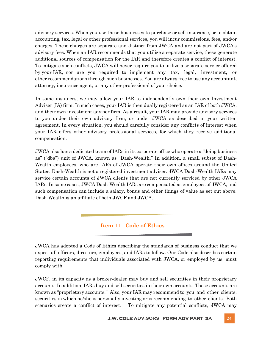advisory services. When you use these businesses to purchase or sell insurance, or to obtain accounting, tax, legal or other professional services, you will incur commissions, fees, and/or charges. These charges are separate and distinct from JWCA and are not part of JWCA's advisory fees. When an IAR recommends that you utilize a separate service, these generate additional sources of compensation for the IAR and therefore creates a conflict of interest. To mitigate such conflicts, JWCA will never require you to utilize a separate service offered by your IAR, nor are you required to implement any tax, legal, investment, or other recommendations through such businesses. You are always free to use any accountant, attorney, insurance agent, or any other professional of your choice.

In some instances, we may allow your IAR to independently own their own Investment Adviser (IA) firm. In such cases, your IAR is then dually registered as an IAR of both JWCA, and their own investment adviser firm. As a result, your IAR may provide advisory services to you under their own advisory firm, or under JWCA as described in your written agreement. In every situation, you should carefully consider any conflicts of interest when your IAR offers other advisory professional services, for which they receive additional compensation.

JWCA also has a dedicated team of IARs in its corporate office who operate a "doing business as" ("dba") unit of JWCA, known as "Dash-Wealth." In addition, a small subset of Dash-Wealth employees, who are IARs of JWCA operate their own offices around the United States. Dash-Wealth is not a registered investment adviser. JWCA Dash-Wealth IARs may service certain accounts of JWCA clients that are not currently serviced by other JWCA IARs. In some cases, JWCA Dash-Wealth IARs are compensated as employees of JWCA, and such compensation can include a salary, bonus and other things of value as set out above. Dash-Wealth is an affiliate of both JWCF and JWCA.

## **Item 11 - Code of Ethics**

JWCA has adopted a Code of Ethics describing the standards of business conduct that we expect all officers, directors, employees, and IARs to follow. Our Code also describes certain reporting requirements that individuals associated with JWCA, or employed by us, must comply with.

JWCF, in its capacity as a broker-dealer may buy and sell securities in their proprietary accounts. In addition, IARs buy and sell securities in their own accounts. These accounts are known as "proprietary accounts." Also, your IAR may recommend to you and other clients, securities in which he/she is personally investing or is recommending to other clients. Both scenarios create a conflict of interest. To mitigate any potential conflicts, JWCA may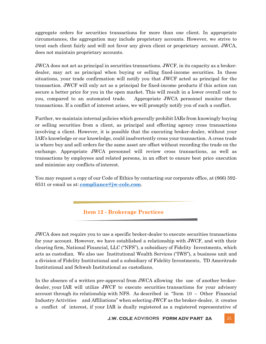aggregate orders for securities transactions for more than one client. In appropriate circumstances, the aggregation may include proprietary accounts. However, we strive to treat each client fairly and will not favor any given client or proprietary account. JWCA, does not maintain proprietary accounts.

JWCA does not act as principal in securities transactions. JWCF, in its capacity as a brokerdealer, may act as principal when buying or selling fixed-income securities. In these situations, your trade confirmation will notify you that JWCF acted as principal for the transaction. JWCF will only act as a principal for fixed-income products if this action can secure a better price for you in the open market. This will result in a lower overall cost to you, compared to an automated trade. Appropriate JWCA personnel monitor these transactions. If a conflict of interest arises, we will promptly notify you of such a conflict.

Further, we maintain internal policies which generally prohibit IARs from knowingly buying or selling securities from a client, as principal and effecting agency cross transactions involving a client. However, it is possible that the executing broker-dealer, without your IAR's knowledge or our knowledge, could inadvertently cross your transaction. A cross trade is where buy and sell orders for the same asset are offset without recording the trade on the exchange. Appropriate JWCA personnel will review cross transactions, as well as transactions by employees and related persons, in an effort to ensure best price execution and minimize any conflicts of interest.

You may request a copy of our Code of Ethics by contacting our corporate office, at (866) 592- 6531 or email us at: **[compliance@jw-cole.com.](mailto:compliance@jw-cole.com)**

**Item 12 - Brokerage Practices**

JWCA does not require you to use a specific broker-dealer to execute securities transactions for your account. However, we have established a relationship with JWCF, and with their clearing firm, National Financial, LLC ("NFS"), a subsidiary of Fidelity Investments, which acts as custodian. We also use Institutional Wealth Services ("IWS"), a business unit and a division of Fidelity Institutional and a subsidiary of Fidelity Investments, TD Ameritrade Institutional and Schwab Institutional as custodians.

In the absence of a written pre-approval from JWCA allowing the use of another brokerdealer, your IAR will utilize JWCF to execute securities transactions for your advisory account through its relationship with NFS. As described in "Item 10 – Other Financial Industry Activities and Affiliations" when selecting JWCF as the broker-dealer, it creates a conflict of interest, if your IAR is dually registered as a registered representative of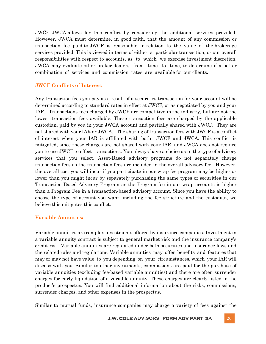JWCF. JWCA allows for this conflict by considering the additional services provided. However, JWCA must determine, in good faith, that the amount of any commission or transaction fee paid to JWCF is reasonable in relation to the value of the brokerage services provided. This is viewed in terms of either a particular transaction, or our overall responsibilities with respect to accounts, as to which we exercise investment discretion. JWCA may evaluate other broker-dealers from time to time, to determine if a better combination of services and commission rates are available for our clients.

#### **JWCF Conflicts of Interest:**

Any transaction fees you pay as a result of a securities transaction for your account will be determined according to standard rates in effect at JWCF, or as negotiated by you and your IAR. Transactions fees charged by JWCF are competitive in the industry, but are not the lowest transaction fees available. These transaction fees are charged by the applicable custodian, paid by you in your JWCA account and partially shared with JWCF. They are not shared with your IAR or JWCA. The sharing of transaction fees with JWCF is a conflict of interest when your IAR is affiliated with both JWCF and JWCA. This conflict is mitigated, since these charges are not shared with your IAR, and JWCA does not require you to use JWCF to effect transactions. You always have a choice as to the type of advisory services that you select. Asset-Based advisory programs do not separately charge transaction fees as the transaction fees are included in the overall advisory fee. However, the overall cost you will incur if you participate in our wrap fee program may be higher or lower than you might incur by separately purchasing the same types of securities in our Transaction-Based Advisory Program as the Program fee in our wrap accounts is higher than a Program Fee in a transaction-based advisory account. Since you have the ability to choose the type of account you want, including the fee structure and the custodian, we believe this mitigates this conflict.

### **Variable Annuities:**

Variable annuities are complex investments offered by insurance companies. Investment in a variable annuity contract is subject to general market risk and the insurance company's credit risk. Variable annuities are regulated under both securities and insurance laws and the related rules and regulations. Variable annuities may offer benefits and features that may or may not have value to you depending on your circumstances, which your IAR will discuss with you. Similar to other investments, commissions are paid for the purchase of variable annuities (excluding fee-based variable annuities) and there are often surrender charges for early liquidation of a variable annuity. These charges are clearly listed in the product's prospectus. You will find additional information about the risks, commissions, surrender charges, and other expenses in the prospectus.

Similar to mutual funds, insurance companies may charge a variety of fees against the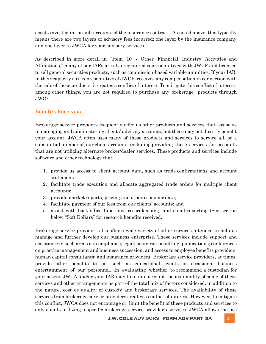assets invested in the sub-accounts of the insurance contract. As noted above, this typically means there are two layers of advisory fees incurred: one layer by the insurance company and one layer to JWCA for your advisory services.

As described in more detail in "Item 10 - Other Financial Industry Activities and Affiliations," many of our IARs are also registered representatives with JWCF and licensed to sell general securities products, such as commission-based variable annuities. If your IAR, in their capacity as a representative of JWCF, receives any compensation in connection with the sale of those products, it creates a conflict of interest. To mitigate this conflict of interest, among other things, you are not required to purchase any brokerage products through JWCF.

## **Benefits Received:**

Brokerage service providers frequently offer us other products and services that assist us in managing and administering clients' advisory accounts, but these may not directly benefit your account. JWCA often uses many of these products and services to service all, or a substantial number of, our client accounts, including providing these services for accounts that are not utilizing alternate broker/dealer services. These products and services include software and other technology that:

- 1. provide us access to client account data, such as trade confirmations and account statements;
- 2. facilitate trade execution and allocate aggregated trade orders for multiple client accounts;
- 3. provide market reports, pricing and other economic data;
- 4. facilitate payment of our fees from our clients' accounts; and
- 5. assist with back-office functions, recordkeeping, and client reporting (See section below "Soft Dollars" for research benefits received.

Brokerage service providers also offer a wide variety of other services intended to help us manage and further develop our business enterprise. These services include support and assistance in such areas as: compliance; legal; business consulting; publications; conferences on practice management and business succession, and access to employee benefits providers; human capital consultants; and insurance providers. Brokerage service providers, at times, provide other benefits to us, such as educational events or occasional business entertainment of our personnel. In evaluating whether to recommend a custodian for your assets, JWCA and/or your IAR may take into account the availability of some of these services and other arrangements as part of the total mix of factors considered, in addition to the nature, cost or quality of custody and brokerage services. The availability of these services from brokerage service providers creates a conflict of interest. However, to mitigate this conflict, JWCA does not encourage or limit the benefit of these products and services to only clients utilizing a specific brokerage service provider's services. JWCA allows the use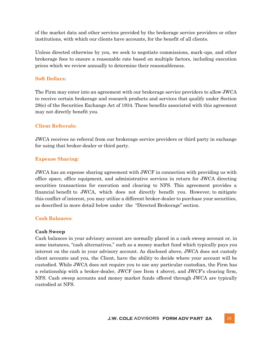of the market data and other services provided by the brokerage service providers or other institutions, with which our clients have accounts, for the benefit of all clients.

Unless directed otherwise by you, we seek to negotiate commissions, mark-ups, and other brokerage fees to ensure a reasonable rate based on multiple factors, including execution prices which we review annually to determine their reasonableness.

## **Soft Dollars:**

The Firm may enter into an agreement with our brokerage service providers to allow JWCA to receive certain brokerage and research products and services that qualify under Section 28(e) of the Securities Exchange Act of 1934. These benefits associated with this agreement may not directly benefit you.

## **Client Referrals:**

JWCA receives no referral from our brokerage service providers or third party in exchange for using that broker-dealer or third party.

## **Expense Sharing:**

JWCA has an expense sharing agreement with JWCF in connection with providing us with office space, office equipment, and administrative services in return for JWCA directing securities transactions for execution and clearing to NFS. This agreement provides a financial benefit to JWCA, which does not directly benefit you. However, to mitigate this conflict of interest, you may utilize a different broker-dealer to purchase your securities, as described in more detail below under the "Directed Brokerage" section.

### **Cash Balances**:

### **Cash Sweep**

Cash balances in your advisory account are normally placed in a cash sweep account or, in some instances, "cash alternatives," such as a money market fund which typically pays you interest on the cash in your advisory account. As disclosed above, JWCA does not custody client accounts and you, the Client, have the ability to decide where your account will be custodied. While JWCA does not require you to use any particular custodian, the Firm has a relationship with a broker-dealer, JWCF (see Item 4 above), and JWCF's clearing firm, NFS. Cash sweep accounts and money market funds offered through JWCA are typically custodied at NFS.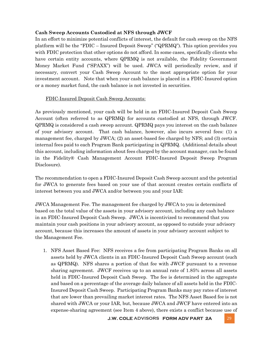## **Cash Sweep Accounts Custodied at NFS through JWCF**

In an effort to minimize potential conflicts of interest, the default for cash sweep on the NFS platform will be the "FDIC – Insured Deposit Sweep" ("QPRMQ"). This option provides you with FDIC protection that other options do not afford. In some cases, specifically clients who have certain entity accounts, where QPRMQ is not available, the Fidelity Government Money Market Fund ("SPAXX") will be used. JWCA will periodically review, and if necessary, convert your Cash Sweep Account to the most appropriate option for your investment account. Note that when your cash balance is placed in a FDIC-Insured option or a money market fund, the cash balance is not invested in securities.

## FDIC-Insured Deposit Cash Sweep Accounts:

As previously mentioned, your cash will be held in an FDIC-Insured Deposit Cash Sweep Account (often referred to as QPRMQ) for accounts custodied at NFS, through JWCF. QPRMQ is considered a cash sweep account. QPRMQ pays you interest on the cash balance of your advisory account. That cash balance, however, also incurs several fees: (1) a management fee, charged by JWCA; (2) an asset-based fee charged by NFS; and (3) certain internal fees paid to each Program Bank participating in QPRMQ. (Additional details about this account, including information about fees charged by the account manager, can be found in the Fidelity® Cash Management Account FDIC-Insured Deposit Sweep Program Disclosure).

The recommendation to open a FDIC-Insured Deposit Cash Sweep account and the potential for JWCA to generate fees based on your use of that account creates certain conflicts of interest between you and JWCA and/or between you and your IAR:

JWCA Management Fee. The management fee charged by JWCA to you is determined based on the total value of the assets in your advisory account, including any cash balance in an FDIC-Insured Deposit Cash Sweep. JWCA is incentivized to recommend that you maintain your cash positions in your advisory account, as opposed to outside your advisory account, because this increases the amount of assets in your advisory account subject to the Management Fee.

1. NFS Asset Based Fee: NFS receives a fee from participating Program Banks on all assets held by JWCA clients in an FDIC-Insured Deposit Cash Sweep account (such as QPRMQ). NFS shares a portion of that fee with JWCF pursuant to a revenue sharing agreement. JWCF receives up to an annual rate of 1.85% across all assets held in FDIC-Insured Deposit Cash Sweep. The fee is determined in the aggregate and based on a percentage of the average daily balance of all assets held in the FDIC-Insured Deposit Cash Sweep. Participating Program Banks may pay rates of interest that are lower than prevailing market interest rates. The NFS Asset Based fee is not shared with JWCA or your IAR, but, because JWCA and JWCF have entered into an expense-sharing agreement (see Item 4 above), there exists a conflict because use of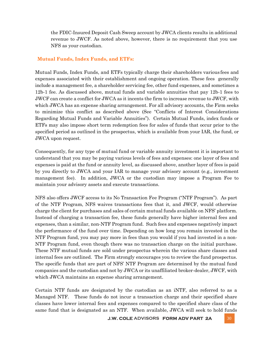the FDIC-Insured Deposit Cash Sweep account by JWCA clients results in additional revenue to JWCF. As noted above, however, there is no requirement that you use NFS as your custodian.

## **Mutual Funds, Index Funds, and ETFs:**

Mutual Funds, Index Funds, and ETFs typically charge their shareholders various fees and expenses associated with their establishment and ongoing operation. These fees generally include a management fee, a shareholder servicing fee, other fund expenses, and sometimes a 12b-1 fee. As discussed above, mutual funds and variable annuities that pay 12b-1 fees to JWCF can create a conflict for JWCA as it incents the firm to increase revenue to JWCF, with which JWCA has an expense sharing arrangement. For all advisory accounts, the Firm seeks to minimize this conflict as described above (See "Conflicts of Interest Considerations Regarding Mutual Funds and Variable Annuities"). Certain Mutual Funds, index funds or ETFs may also impose short term redemption fees for sales of funds that occur prior to the specified period as outlined in the prospectus, which is available from your IAR, the fund, or JWCA upon request.

Consequently, for any type of mutual fund or variable annuity investment it is important to understand that you may be paying various levels of fees and expenses: one layer of fees and expenses is paid at the fund or annuity level, as discussed above, another layer of fees is paid by you directly to JWCA and your IAR to manage your advisory account (e.g., investment management fee). In addition, JWCA or the custodian may impose a Program Fee to maintain your advisory assets and execute transactions.

NFS also offers JWCF access to its No Transaction Fee Program ("NTF Program"). As part of the NTF Program, NFS waives transactions fees that it, and JWCF, would otherwise charge the client for purchases and sales of certain mutual funds available on NFS' platform. Instead of charging a transaction fee, these funds generally have higher internal fees and expenses, than a similar, non-NTF Program fund. Such fees and expenses negatively impact the performance of the fund over time. Depending on how long you remain invested in the NTF Program fund, you may pay more in fees than you would if you had invested in a non-NTF Program fund, even though there was no transaction charge on the initial purchase. These NTF mutual funds are sold under prospectus wherein the various share classes and internal fees are outlined. The Firm strongly encourages you to review the fund prospectus. The specific funds that are part of NFS' NTF Program are determined by the mutual fund companies and the custodian and not by JWCA or its unaffiliated broker-dealer, JWCF, with which JWCA maintains an expense sharing arrangement.

Certain NTF funds are designated by the custodian as an iNTF, also referred to as a Managed NTF. These funds do not incur a transaction charge and their specified share classes have lower internal fees and expenses compared to the specified share class of the same fund that is designated as an NTF. When available, JWCA will seek to hold funds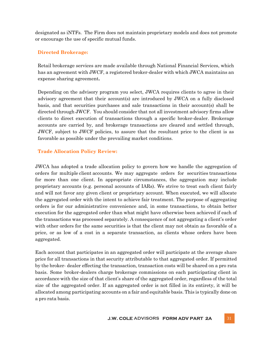designated as iNTFs. The Firm does not maintain proprietary models and does not promote or encourage the use of specific mutual funds.

## **Directed Brokerage:**

Retail brokerage services are made available through National Financial Services, which has an agreement with JWCF, a registered broker-dealer with which JWCA maintains an expense sharing agreement**.**

Depending on the advisory program you select, JWCA requires clients to agree in their advisory agreement that their account(s) are introduced by JWCA on a fully disclosed basis, and that securities purchases and sale transactions in their account(s) shall be directed through JWCF. You should consider that not all investment advisory firms allow clients to direct execution of transactions through a specific broker-dealer. Brokerage accounts are carried by, and brokerage transactions are cleared and settled through, JWCF, subject to JWCF policies, to assure that the resultant price to the client is as favorable as possible under the prevailing market conditions.

## **Trade Allocation Policy Review:**

JWCA has adopted a trade allocation policy to govern how we handle the aggregation of orders for multiple client accounts. We may aggregate orders for securities transactions for more than one client. In appropriate circumstances, the aggregation may include proprietary accounts (e.g. personal accounts of IARs). We strive to treat each client fairly and will not favor any given client or proprietary account. When executed, we will allocate the aggregated order with the intent to achieve fair treatment. The purpose of aggregating orders is for our administrative convenience and, in some transactions, to obtain better execution for the aggregated order than what might have otherwise been achieved if each of the transactions was processed separately. A consequence of not aggregating a client's order with other orders for the same securities is that the client may not obtain as favorable of a price, or as low of a cost in a separate transaction, as clients whose orders have been aggregated.

Each account that participates in an aggregated order will participate at the average share price for all transactions in that security attributable to that aggregated order. If permitted by the broker- dealer effecting the transaction, transaction costs will be shared on a pro rata basis. Some broker-dealers charge brokerage commissions on each participating client in accordance with the size of that client's share of the aggregated order, regardless of the total size of the aggregated order. If an aggregated order is not filled in its entirety, it will be allocated among participating accounts on a fair and equitable basis. This is typically done on a pro rata basis.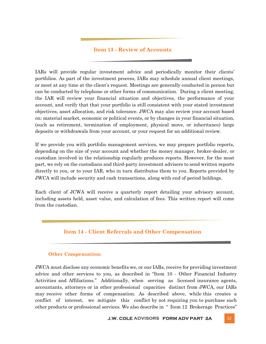## **Item 13 - Review of Accounts**

IARs will provide regular investment advice and periodically monitor their clients' portfolios. As part of the investment process, IARs may schedule annual client meetings, or meet at any time at the client's request. Meetings are generally conducted in person but can be conducted by telephone or other forms of communication. During a client meeting, the IAR will review your financial situation and objectives, the performance of your account, and verify that that your portfolio is still consistent with your stated investment objectives, asset allocation, and risk tolerance. JWCA may also review your account based on: material market, economic or political events, or by changes in your financial situation, (such as retirement, termination of employment, physical move, or inheritance) large deposits or withdrawals from your account, or your request for an additional review.

If we provide you with portfolio management services, we may prepare portfolio reports, depending on the size of your account and whether the money manager, broker-dealer, or custodian involved in the relationship regularly produces reports. However, for the most part, we rely on the custodians and third-party investment advisers to send written reports directly to you, or to your IAR, who in turn distributes them to you. Reports provided by JWCA will include security and cash transactions, along with end of period holdings.

Each client of JCWA will receive a quarterly report detailing your advisory account, including assets held, asset value, and calculation of fees. This written report will come from the custodian.

## **Item 14 - Client Referrals and Other Compensation**

### **Other Compensation:**

JWCA must disclose any economic benefits we, or our IARs, receive for providing investment advice and other services to you, as described in "Item 10 - Other Financial Industry Activities and Affiliations." Additionally, when serving as licensed insurance agents, accountants, attorneys or in other professional capacities distinct from JWCA, our IARs may receive other forms of compensation. As described above, while this creates a conflict of interest, we mitigate this conflict by not requiring you to purchase such other products or professional services. We also describe in " Item 12 Brokerage Practices"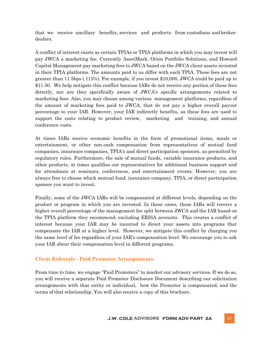that we receive ancillary benefits, services and products from custodians and brokerdealers.

A conflict of interest exists as certain TPIAs or TPIA platforms in which you may invest will pay JWCA a marketing fee. Currently AssetMark, Orion Portfolio Solutions, and Howard Capital Management pay marketing fees to JWCA based on the JWCA client assets invested in their TPIA platforms. The amounts paid to us differ with each TPIA. These fees are not greater than 11.5bps (.115%). For example, if you invest \$10,000, JWCA could be paid up to \$11.50. We help mitigate this conflict because IARs do not receive any portion of these fees directly, nor are they specifically aware of JWCA's specific arrangements related to marketing fees. Also, you may choose among various management platforms, regardless of the amount of marketing fees paid to JWCA, that do not pay a higher overall payout percentage to your IAR. However, your IAR indirectly benefits, as these fees are used to support the costs relating to product review, marketing and training, and annual conference costs.

At times IARs receive economic benefits in the form of promotional items, meals or entertainment, or other non-cash compensation from representatives of mutual fund companies, insurance companies, TPIA's and direct participation sponsors, as permitted by regulatory rules. Furthermore, the sale of mutual funds, variable insurance products, and other products, at times qualifies our representatives for additional business support and for attendance at seminars, conferences, and entertainment events. However, you are always free to choose which mutual fund, insurance company, TPIA, or direct participation sponsor you want to invest.

Finally, some of the JWCA IARs will be compensated at different levels, depending on the product or program in which you are invested. In these cases, those IARs will receive a higher overall percentage of the management fee split between JWCA and the IAR based on the TPIA platform they recommend, excluding ERISA accounts. This creates a conflict of interest because your IAR may be incented to direct your assets into programs that compensate the IAR at a higher level. However, we mitigate this conflict by charging you the same level of fee regardless of your IAR's compensation level. We encourage you to ask your IAR about their compensation level in different programs.

### **Client Referrals - Paid Promotor Arrangements:**

From time to time, we engage "Paid Promoters" to market our advisory services. If we do so, you will receive a separate Paid Promoter Disclosure Document describing our solicitation arrangements with that entity or individual, how the Promoter is compensated, and the terms of that relationship. You will also receive a copy of this brochure.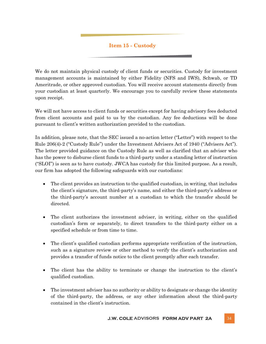## **Item 15 - Custody**

We do not maintain physical custody of client funds or securities. Custody for investment management accounts is maintained by either Fidelity (NFS and IWS), Schwab, or TD Ameritrade, or other approved custodian. You will receive account statements directly from your custodian at least quarterly. We encourage you to carefully review these statements upon receipt.

We will not have access to client funds or securities except for having advisory fees deducted from client accounts and paid to us by the custodian. Any fee deductions will be done pursuant to client's written authorization provided to the custodian.

In addition, please note, that the SEC issued a no‐action letter ("Letter") with respect to the Rule 206(4)‐2 ("Custody Rule") under the Investment Advisers Act of 1940 ("Advisers Act"). The letter provided guidance on the Custody Rule as well as clarified that an adviser who has the power to disburse client funds to a third-party under a standing letter of instruction ("SLOI") is seen as to have custody. JWCA has custody for this limited purpose. As a result, our firm has adopted the following safeguards with our custodians:

- The client provides an instruction to the qualified custodian, in writing, that includes the client's signature, the third-party's name, and either the third-party's address or the third-party's account number at a custodian to which the transfer should be directed.
- The client authorizes the investment adviser, in writing, either on the qualified custodian's form or separately, to direct transfers to the third-party either on a specified schedule or from time to time.
- The client's qualified custodian performs appropriate verification of the instruction, such as a signature review or other method to verify the client's authorization and provides a transfer of funds notice to the client promptly after each transfer.
- The client has the ability to terminate or change the instruction to the client's qualified custodian.
- The investment adviser has no authority or ability to designate or change the identity of the third-party, the address, or any other information about the third-party contained in the client's instruction.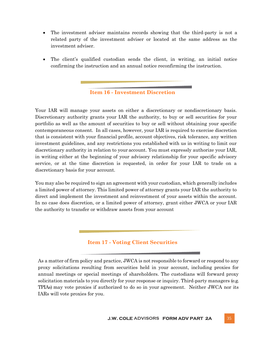- The investment adviser maintains records showing that the third-party is not a related party of the investment adviser or located at the same address as the investment adviser.
- The client's qualified custodian sends the client, in writing, an initial notice confirming the instruction and an annual notice reconfirming the instruction.

### **Item 16 - Investment Discretion**

Your IAR will manage your assets on either a discretionary or nondiscretionary basis. Discretionary authority grants your IAR the authority, to buy or sell securities for your portfolio as well as the amount of securities to buy or sell without obtaining your specific contemporaneous consent. In all cases, however, your IAR is required to exercise discretion that is consistent with your financial profile, account objectives, risk tolerance, any written investment guidelines, and any restrictions you established with us in writing to limit our discretionary authority in relation to your account. You must expressly authorize your IAR, in writing either at the beginning of your advisory relationship for your specific advisory service, or at the time discretion is requested, in order for your IAR to trade on a discretionary basis for your account.

You may also be required to sign an agreement with your custodian, which generally includes a limited power of attorney. This limited power of attorney grants your IAR the authority to direct and implement the investment and reinvestment of your assets within the account. In no case does discretion, or a limited power of attorney, grant either JWCA or your IAR the authority to transfer or withdraw assets from your account

## **Item 17 - Voting Client Securities**

As a matter of firm policy and practice, JWCA is not responsible to forward or respond to any proxy solicitations resulting from securities held in your account, including proxies for annual meetings or special meetings of shareholders. The custodians will forward proxy solicitation materials to you directly for your response or inquiry. Third-party managers (e.g. TPIAs) may vote proxies if authorized to do so in your agreement. Neither JWCA nor its IARs will vote proxies for you.